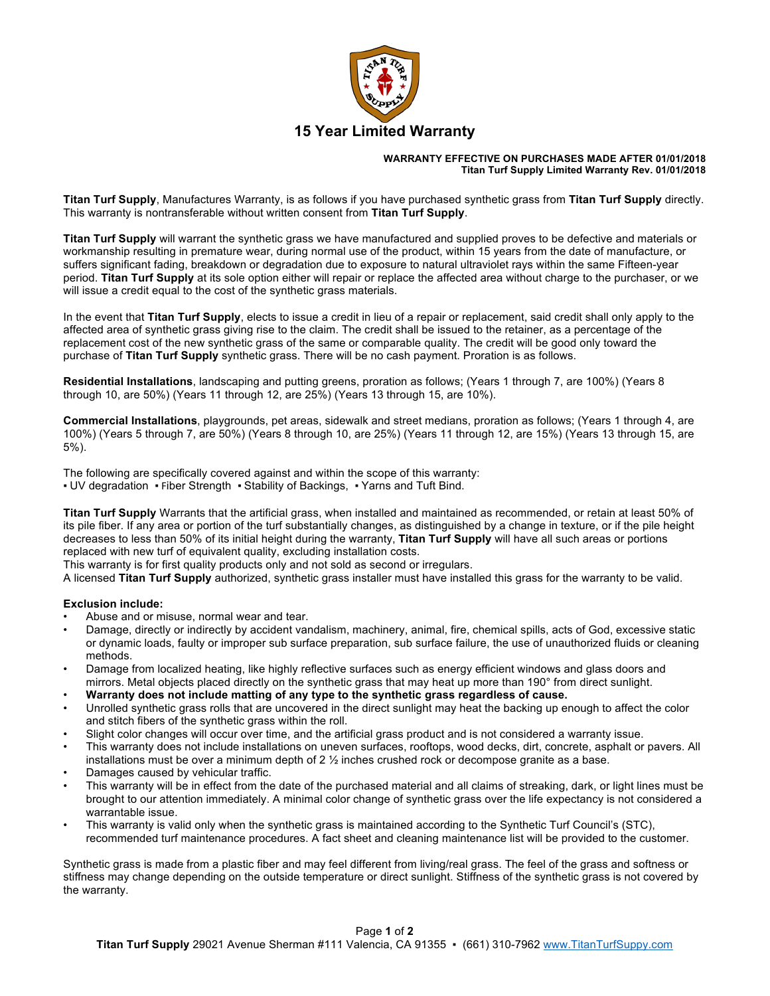

### **WARRANTY EFFECTIVE ON PURCHASES MADE AFTER 01/01/2018 Titan Turf Supply Limited Warranty Rev. 01/01/2018**

**Titan Turf Supply**, Manufactures Warranty, is as follows if you have purchased synthetic grass from **Titan Turf Supply** directly. This warranty is nontransferable without written consent from **Titan Turf Supply**.

**Titan Turf Supply** will warrant the synthetic grass we have manufactured and supplied proves to be defective and materials or workmanship resulting in premature wear, during normal use of the product, within 15 years from the date of manufacture, or suffers significant fading, breakdown or degradation due to exposure to natural ultraviolet rays within the same Fifteen-year period. **Titan Turf Supply** at its sole option either will repair or replace the affected area without charge to the purchaser, or we will issue a credit equal to the cost of the synthetic grass materials.

In the event that **Titan Turf Supply**, elects to issue a credit in lieu of a repair or replacement, said credit shall only apply to the affected area of synthetic grass giving rise to the claim. The credit shall be issued to the retainer, as a percentage of the replacement cost of the new synthetic grass of the same or comparable quality. The credit will be good only toward the purchase of **Titan Turf Supply** synthetic grass. There will be no cash payment. Proration is as follows.

**Residential Installations**, landscaping and putting greens, proration as follows; (Years 1 through 7, are 100%) (Years 8 through 10, are 50%) (Years 11 through 12, are 25%) (Years 13 through 15, are 10%).

**Commercial Installations**, playgrounds, pet areas, sidewalk and street medians, proration as follows; (Years 1 through 4, are 100%) (Years 5 through 7, are 50%) (Years 8 through 10, are 25%) (Years 11 through 12, are 15%) (Years 13 through 15, are 5%).

The following are specifically covered against and within the scope of this warranty:

■ UV degradation • Fiber Strength • Stability of Backings, • Yarns and Tuft Bind.

**Titan Turf Supply** Warrants that the artificial grass, when installed and maintained as recommended, or retain at least 50% of its pile fiber. If any area or portion of the turf substantially changes, as distinguished by a change in texture, or if the pile height decreases to less than 50% of its initial height during the warranty, **Titan Turf Supply** will have all such areas or portions replaced with new turf of equivalent quality, excluding installation costs.

This warranty is for first quality products only and not sold as second or irregulars.

A licensed **Titan Turf Supply** authorized, synthetic grass installer must have installed this grass for the warranty to be valid.

## **Exclusion include:**

- Abuse and or misuse, normal wear and tear.
- Damage, directly or indirectly by accident vandalism, machinery, animal, fire, chemical spills, acts of God, excessive static or dynamic loads, faulty or improper sub surface preparation, sub surface failure, the use of unauthorized fluids or cleaning methods.
- Damage from localized heating, like highly reflective surfaces such as energy efficient windows and glass doors and mirrors. Metal objects placed directly on the synthetic grass that may heat up more than 190° from direct sunlight.
- **Warranty does not include matting of any type to the synthetic grass regardless of cause.**
- Unrolled synthetic grass rolls that are uncovered in the direct sunlight may heat the backing up enough to affect the color and stitch fibers of the synthetic grass within the roll.
- Slight color changes will occur over time, and the artificial grass product and is not considered a warranty issue.
- This warranty does not include installations on uneven surfaces, rooftops, wood decks, dirt, concrete, asphalt or pavers. All installations must be over a minimum depth of 2 ½ inches crushed rock or decompose granite as a base.
- Damages caused by vehicular traffic.
- This warranty will be in effect from the date of the purchased material and all claims of streaking, dark, or light lines must be brought to our attention immediately. A minimal color change of synthetic grass over the life expectancy is not considered a warrantable issue.
- This warranty is valid only when the synthetic grass is maintained according to the Synthetic Turf Council's (STC), recommended turf maintenance procedures. A fact sheet and cleaning maintenance list will be provided to the customer.

Synthetic grass is made from a plastic fiber and may feel different from living/real grass. The feel of the grass and softness or stiffness may change depending on the outside temperature or direct sunlight. Stiffness of the synthetic grass is not covered by the warranty.